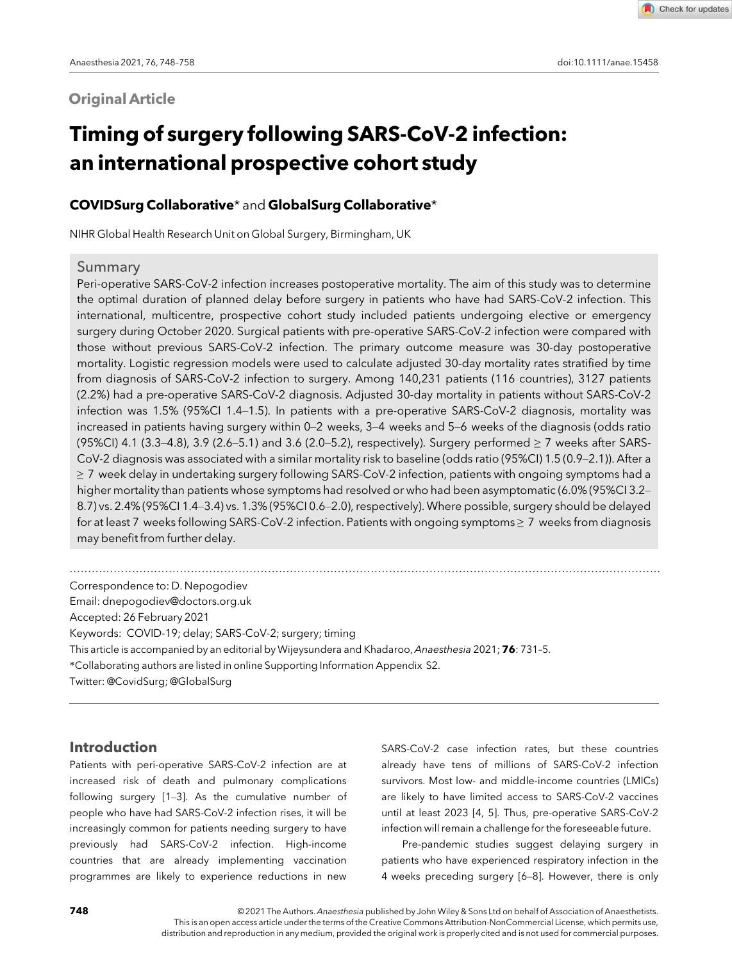# **Original Article**

Check for updates

# Timing of surgery following SARS-CoV-2 infection: an international prospective cohort study

## COVIDSurg Collaborative\* and GlobalSurg Collaborative\*

NIHR Global Health Research Unit on Global Surgery, Birmingham, UK

#### Summary

Peri-operative SARS-CoV-2 infection increases postoperative mortality. The aim of this study was to determine the optimal duration of planned delay before surgery in patients who have had SARS-CoV-2 infection. This international, multicentre, prospective cohort study included patients undergoing elective or emergency surgery during October 2020. Surgical patients with pre-operative SARS-CoV-2 infection were compared with those without previous SARS-CoV-2 infection. The primary outcome measure was 30-day postoperative mortality. Logistic regression models were used to calculate adjusted 30-day mortality rates stratified by time from diagnosis of SARS-CoV-2 infection to surgery. Among 140,231 patients (116 countries), 3127 patients (2.2%) had a pre-operative SARS-CoV-2 diagnosis. Adjusted 30-day mortality in patients without SARS-CoV-2 infection was 1.5% (95%CI 1.4–1.5). In patients with a pre-operative SARS-CoV-2 diagnosis, mortality was increased in patients having surgery within 0–2 weeks, 3–4 weeks and 5–6 weeks of the diagnosis (odds ratio (95%CI) 4.1 (3.3–4.8), 3.9 (2.6–5.1) and 3.6 (2.0–5.2), respectively). Surgery performed  $\geq$  7 weeks after SARS-CoV-2 diagnosis was associated with a similar mortality risk to baseline (odds ratio (95%CI) 1.5 (0.9–2.1)). After a ≥ 7 week delay in undertaking surgery following SARS-CoV-2 infection, patients with ongoing symptoms had a higher mortality than patients whose symptoms had resolved or who had been asymptomatic (6.0% (95%CI 3.2– 8.7) vs. 2.4% (95%CI 1.4–3.4) vs. 1.3% (95%CI 0.6–2.0), respectively). Where possible, surgery should be delayed for at least 7 weeks following SARS-CoV-2 infection. Patients with ongoing symptoms ≥ 7 weeks from diagnosis may benefit from further delay.

.................................................................................................................................................................

Correspondence to: D. Nepogodiev Email: [dnepogodiev@doctors.org.uk](mailto:) Accepted: 26 February 2021 Keywords: COVID-19; delay; SARS-CoV-2; surgery; timing This article is accompanied by an editorial by Wijeysundera and Khadaroo, Anaesthesia 2021; 76: 731–5. \*Collaborating authors are listed in online Supporting Information Appendix S2. Twitter: @CovidSurg; @GlobalSurg

## Introduction

Patients with peri-operative SARS-CoV-2 infection are at increased risk of death and pulmonary complications following surgery [1–3]. As the cumulative number of people who have had SARS-CoV-2 infection rises, it will be increasingly common for patients needing surgery to have previously had SARS-CoV-2 infection. High-income countries that are already implementing vaccination programmes are likely to experience reductions in new

SARS-CoV-2 case infection rates, but these countries already have tens of millions of SARS-CoV-2 infection survivors. Most low- and middle-income countries (LMICs) are likely to have limited access to SARS-CoV-2 vaccines until at least 2023 [4, 5]. Thus, pre-operative SARS-CoV-2 infection will remain a challenge for the foreseeable future.

Pre-pandemic studies suggest delaying surgery in patients who have experienced respiratory infection in the 4 weeks preceding surgery [6–8]. However, there is only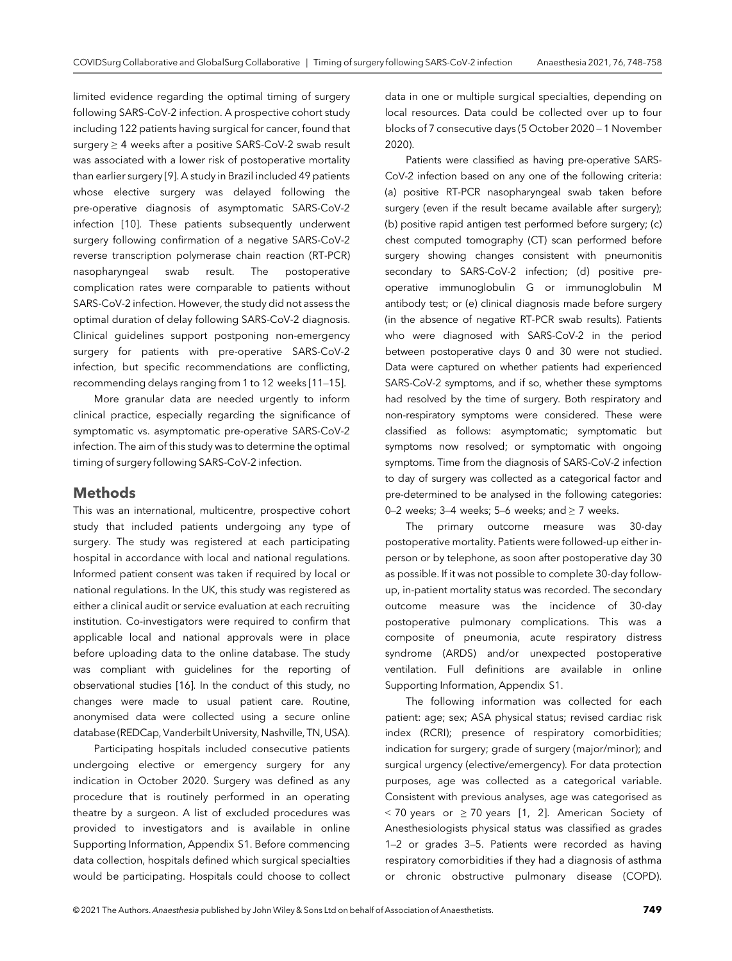limited evidence regarding the optimal timing of surgery following SARS-CoV-2 infection. A prospective cohort study including 122 patients having surgical for cancer, found that surgery ≥ 4 weeks after a positive SARS-CoV-2 swab result was associated with a lower risk of postoperative mortality than earlier surgery [9]. A study in Brazil included 49 patients whose elective surgery was delayed following the pre-operative diagnosis of asymptomatic SARS-CoV-2 infection [10]. These patients subsequently underwent surgery following confirmation of a negative SARS-CoV-2 reverse transcription polymerase chain reaction (RT-PCR) nasopharyngeal swab result. The postoperative complication rates were comparable to patients without SARS-CoV-2 infection. However, the study did not assess the optimal duration of delay following SARS-CoV-2 diagnosis. Clinical guidelines support postponing non-emergency surgery for patients with pre-operative SARS-CoV-2 infection, but specific recommendations are conflicting, recommending delays ranging from 1 to 12 weeks [11–15].

More granular data are needed urgently to inform clinical practice, especially regarding the significance of symptomatic vs. asymptomatic pre-operative SARS-CoV-2 infection. The aim of this study was to determine the optimal timing of surgery following SARS-CoV-2 infection.

## Methods

This was an international, multicentre, prospective cohort study that included patients undergoing any type of surgery. The study was registered at each participating hospital in accordance with local and national regulations. Informed patient consent was taken if required by local or national regulations. In the UK, this study was registered as either a clinical audit or service evaluation at each recruiting institution. Co-investigators were required to confirm that applicable local and national approvals were in place before uploading data to the online database. The study was compliant with guidelines for the reporting of observational studies [16]. In the conduct of this study, no changes were made to usual patient care. Routine, anonymised data were collected using a secure online database (REDCap, Vanderbilt University, Nashville, TN, USA).

Participating hospitals included consecutive patients undergoing elective or emergency surgery for any indication in October 2020. Surgery was defined as any procedure that is routinely performed in an operating theatre by a surgeon. A list of excluded procedures was provided to investigators and is available in online Supporting Information, Appendix S1. Before commencing data collection, hospitals defined which surgical specialties would be participating. Hospitals could choose to collect

data in one or multiple surgical specialties, depending on local resources. Data could be collected over up to four blocks of 7 consecutive days (5 October 2020 – 1 November 2020).

Patients were classified as having pre-operative SARS-CoV-2 infection based on any one of the following criteria: (a) positive RT-PCR nasopharyngeal swab taken before surgery (even if the result became available after surgery); (b) positive rapid antigen test performed before surgery; (c) chest computed tomography (CT) scan performed before surgery showing changes consistent with pneumonitis secondary to SARS-CoV-2 infection; (d) positive preoperative immunoglobulin G or immunoglobulin M antibody test; or (e) clinical diagnosis made before surgery (in the absence of negative RT-PCR swab results). Patients who were diagnosed with SARS-CoV-2 in the period between postoperative days 0 and 30 were not studied. Data were captured on whether patients had experienced SARS-CoV-2 symptoms, and if so, whether these symptoms had resolved by the time of surgery. Both respiratory and non-respiratory symptoms were considered. These were classified as follows: asymptomatic; symptomatic but symptoms now resolved; or symptomatic with ongoing symptoms. Time from the diagnosis of SARS-CoV-2 infection to day of surgery was collected as a categorical factor and pre-determined to be analysed in the following categories: 0–2 weeks;  $3-4$  weeks;  $5-6$  weeks; and  $\geq 7$  weeks.

The primary outcome measure was 30-day postoperative mortality. Patients were followed-up either inperson or by telephone, as soon after postoperative day 30 as possible. If it was not possible to complete 30-day followup, in-patient mortality status was recorded. The secondary outcome measure was the incidence of 30-day postoperative pulmonary complications. This was a composite of pneumonia, acute respiratory distress syndrome (ARDS) and/or unexpected postoperative ventilation. Full definitions are available in online Supporting Information, Appendix S1.

The following information was collected for each patient: age; sex; ASA physical status; revised cardiac risk index (RCRI); presence of respiratory comorbidities; indication for surgery; grade of surgery (major/minor); and surgical urgency (elective/emergency). For data protection purposes, age was collected as a categorical variable. Consistent with previous analyses, age was categorised as  $<$  70 years or  $\geq$  70 years [1, 2]. American Society of Anesthesiologists physical status was classified as grades 1–2 or grades 3–5. Patients were recorded as having respiratory comorbidities if they had a diagnosis of asthma or chronic obstructive pulmonary disease (COPD).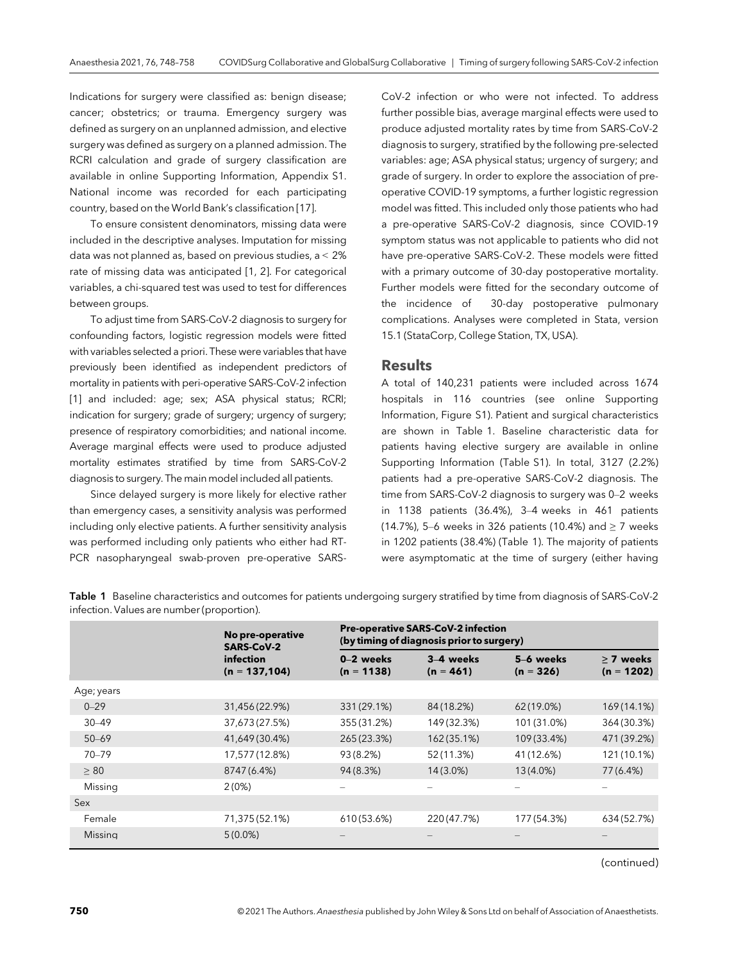Indications for surgery were classified as: benign disease; cancer; obstetrics; or trauma. Emergency surgery was defined as surgery on an unplanned admission, and elective surgery was defined as surgery on a planned admission. The RCRI calculation and grade of surgery classification are available in online Supporting Information, Appendix S1. National income was recorded for each participating country, based on the World Bank's classification [17].

To ensure consistent denominators, missing data were included in the descriptive analyses. Imputation for missing data was not planned as, based on previous studies, a < 2% rate of missing data was anticipated [1, 2]. For categorical variables, a chi-squared test was used to test for differences between groups.

To adjust time from SARS-CoV-2 diagnosis to surgery for confounding factors, logistic regression models were fitted with variables selected a priori. These were variables that have previously been identified as independent predictors of mortality in patients with peri-operative SARS-CoV-2 infection [1] and included: age; sex; ASA physical status; RCRI; indication for surgery; grade of surgery; urgency of surgery; presence of respiratory comorbidities; and national income. Average marginal effects were used to produce adjusted mortality estimates stratified by time from SARS-CoV-2 diagnosis to surgery. The main model included all patients.

Since delayed surgery is more likely for elective rather than emergency cases, a sensitivity analysis was performed including only elective patients. A further sensitivity analysis was performed including only patients who either had RT-PCR nasopharyngeal swab-proven pre-operative SARS-

CoV-2 infection or who were not infected. To address further possible bias, average marginal effects were used to produce adjusted mortality rates by time from SARS-CoV-2 diagnosis to surgery, stratified by the following pre-selected variables: age; ASA physical status; urgency of surgery; and grade of surgery. In order to explore the association of preoperative COVID-19 symptoms, a further logistic regression model was fitted. This included only those patients who had a pre-operative SARS-CoV-2 diagnosis, since COVID-19 symptom status was not applicable to patients who did not have pre-operative SARS-CoV-2. These models were fitted with a primary outcome of 30-day postoperative mortality. Further models were fitted for the secondary outcome of the incidence of 30-day postoperative pulmonary complications. Analyses were completed in Stata, version 15.1 (StataCorp, College Station, TX, USA).

#### Results

A total of 140,231 patients were included across 1674 hospitals in 116 countries (see online Supporting Information, Figure S1). Patient and surgical characteristics are shown in Table 1. Baseline characteristic data for patients having elective surgery are available in online Supporting Information (Table S1). In total, 3127 (2.2%) patients had a pre-operative SARS-CoV-2 diagnosis. The time from SARS-CoV-2 diagnosis to surgery was 0–2 weeks in 1138 patients (36.4%), 3–4 weeks in 461 patients (14.7%), 5–6 weeks in 326 patients (10.4%) and  $\geq$  7 weeks in 1202 patients (38.4%) (Table 1). The majority of patients were asymptomatic at the time of surgery (either having

|                | No pre-operative<br><b>SARS-CoV-2</b><br>infection<br>$(n = 137, 104)$ | <b>Pre-operative SARS-CoV-2 infection</b><br>(by timing of diagnosis prior to surgery) |                          |                          |                           |
|----------------|------------------------------------------------------------------------|----------------------------------------------------------------------------------------|--------------------------|--------------------------|---------------------------|
|                |                                                                        | 0-2 weeks<br>$(n = 1138)$                                                              | 3–4 weeks<br>$(n = 461)$ | 5–6 weeks<br>$(n = 326)$ | > 7 weeks<br>$(n = 1202)$ |
| Age; years     |                                                                        |                                                                                        |                          |                          |                           |
| $0 - 29$       | 31,456 (22.9%)                                                         | 331 (29.1%)                                                                            | 84 (18.2%)               | $62(19.0\%)$             | 169 (14.1%)               |
| $30 - 49$      | 37,673 (27.5%)                                                         | 355 (31.2%)                                                                            | 149 (32.3%)              | 101 (31.0%)              | 364 (30.3%)               |
| $50 - 69$      | 41,649 (30.4%)                                                         | 265 (23.3%)                                                                            | 162 (35.1%)              | 109 (33.4%)              | 471 (39.2%)               |
| $70 - 79$      | 17,577 (12.8%)                                                         | 93 (8.2%)                                                                              | 52 (11.3%)               | 41 (12.6%)               | 121 (10.1%)               |
| $\geq 80$      | 8747 (6.4%)                                                            | 94 (8.3%)                                                                              | $14(3.0\%)$              | 13 (4.0%)                | 77 (6.4%)                 |
| Missing        | 2(0%)                                                                  |                                                                                        |                          |                          |                           |
| Sex            |                                                                        |                                                                                        |                          |                          |                           |
| Female         | 71,375 (52.1%)                                                         | 610 (53.6%)                                                                            | 220 (47.7%)              | 177 (54.3%)              | 634 (52.7%)               |
| <b>Missing</b> | $5(0.0\%)$                                                             |                                                                                        |                          |                          |                           |

Table 1 Baseline characteristics and outcomes for patients undergoing surgery stratified by time from diagnosis of SARS-CoV-2 infection. Values are number (proportion).

(continued)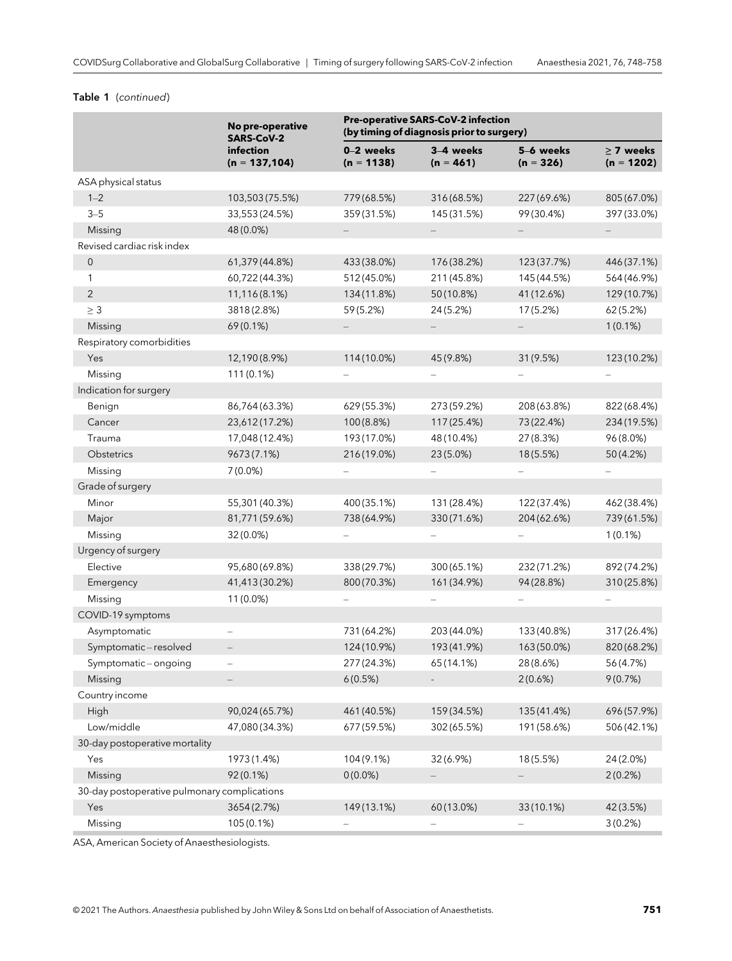#### Table 1 (continued)

|                                              | No pre-operative<br><b>SARS-CoV-2</b> | <b>Pre-operative SARS-CoV-2 infection</b><br>(by timing of diagnosis prior to surgery) |                          |                          |                                |
|----------------------------------------------|---------------------------------------|----------------------------------------------------------------------------------------|--------------------------|--------------------------|--------------------------------|
|                                              | infection<br>$(n = 137, 104)$         | 0-2 weeks<br>$(n = 1138)$                                                              | 3-4 weeks<br>$(n = 461)$ | 5-6 weeks<br>$(n = 326)$ | $\geq$ 7 weeks<br>$(n = 1202)$ |
| ASA physical status                          |                                       |                                                                                        |                          |                          |                                |
| $1 - 2$                                      | 103,503 (75.5%)                       | 779 (68.5%)                                                                            | 316 (68.5%)              | 227 (69.6%)              | 805 (67.0%)                    |
| $3 - 5$                                      | 33,553 (24.5%)                        | 359 (31.5%)                                                                            | 145 (31.5%)              | 99 (30.4%)               | 397 (33.0%)                    |
| Missing                                      | 48 (0.0%)                             |                                                                                        |                          |                          |                                |
| Revised cardiac risk index                   |                                       |                                                                                        |                          |                          |                                |
| $\mathsf{O}\xspace$                          | 61,379 (44.8%)                        | 433 (38.0%)                                                                            | 176 (38.2%)              | 123 (37.7%)              | 446 (37.1%)                    |
| 1                                            | 60,722 (44.3%)                        | 512 (45.0%)                                                                            | 211 (45.8%)              | 145 (44.5%)              | 564 (46.9%)                    |
| $\sqrt{2}$                                   | 11,116(8.1%)                          | 134 (11.8%)                                                                            | 50 (10.8%)               | 41 (12.6%)               | 129 (10.7%)                    |
| $\geq 3$                                     | 3818 (2.8%)                           | 59 (5.2%)                                                                              | 24 (5.2%)                | 17 (5.2%)                | 62 (5.2%)                      |
| Missing                                      | $69(0.1\%)$                           |                                                                                        |                          |                          | $1(0.1\%)$                     |
| Respiratory comorbidities                    |                                       |                                                                                        |                          |                          |                                |
| Yes                                          | 12,190 (8.9%)                         | 114 (10.0%)                                                                            | 45 (9.8%)                | 31 (9.5%)                | 123 (10.2%)                    |
| Missing                                      | 111 (0.1%)                            |                                                                                        |                          |                          |                                |
| Indication for surgery                       |                                       |                                                                                        |                          |                          |                                |
| Benign                                       | 86,764 (63.3%)                        | 629 (55.3%)                                                                            | 273 (59.2%)              | 208 (63.8%)              | 822 (68.4%)                    |
| Cancer                                       | 23,612(17.2%)                         | 100 (8.8%)                                                                             | 117 (25.4%)              | 73 (22.4%)               | 234 (19.5%)                    |
| Trauma                                       | 17,048 (12.4%)                        | 193 (17.0%)                                                                            | 48 (10.4%)               | 27 (8.3%)                | 96 (8.0%)                      |
| Obstetrics                                   | 9673 (7.1%)                           | 216 (19.0%)                                                                            | 23 (5.0%)                | 18(5.5%)                 | 50 (4.2%)                      |
| Missing                                      | $7(0.0\%)$                            |                                                                                        |                          |                          |                                |
| Grade of surgery                             |                                       |                                                                                        |                          |                          |                                |
| Minor                                        | 55,301 (40.3%)                        | 400 (35.1%)                                                                            | 131 (28.4%)              | 122 (37.4%)              | 462 (38.4%)                    |
| Major                                        | 81,771 (59.6%)                        | 738 (64.9%)                                                                            | 330 (71.6%)              | 204 (62.6%)              | 739 (61.5%)                    |
| Missing                                      | 32 (0.0%)                             |                                                                                        |                          |                          | $1(0.1\%)$                     |
| Urgency of surgery                           |                                       |                                                                                        |                          |                          |                                |
| Elective                                     | 95,680 (69.8%)                        | 338 (29.7%)                                                                            | 300 (65.1%)              | 232 (71.2%)              | 892 (74.2%)                    |
| Emergency                                    | 41,413 (30.2%)                        | 800 (70.3%)                                                                            | 161 (34.9%)              | 94 (28.8%)               | 310 (25.8%)                    |
| Missing                                      | 11 (0.0%)                             |                                                                                        |                          |                          |                                |
| COVID-19 symptoms                            |                                       |                                                                                        |                          |                          |                                |
| Asymptomatic                                 |                                       | 731 (64.2%)                                                                            | 203 (44.0%)              | 133 (40.8%)              | 317 (26.4%)                    |
| Symptomatic-resolved                         |                                       | 124 (10.9%)                                                                            | 193 (41.9%)              | 163 (50.0%)              | 820 (68.2%)                    |
| Symptomatic-ongoing                          |                                       | 277 (24.3%)                                                                            | 65 (14.1%)               | 28 (8.6%)                | 56 (4.7%)                      |
| Missing                                      |                                       | 6(0.5%)                                                                                |                          | 2(0.6%)                  | 9(0.7%)                        |
| Country income                               |                                       |                                                                                        |                          |                          |                                |
| High                                         | 90,024 (65.7%)                        | 461 (40.5%)                                                                            | 159 (34.5%)              | 135 (41.4%)              | 696 (57.9%)                    |
| Low/middle                                   | 47,080(34.3%)                         | 677 (59.5%)                                                                            | 302 (65.5%)              | 191 (58.6%)              | 506 (42.1%)                    |
| 30-day postoperative mortality               |                                       |                                                                                        |                          |                          |                                |
| Yes                                          | 1973 (1.4%)                           | 104 (9.1%)                                                                             | 32 (6.9%)                | 18(5.5%)                 | 24 (2.0%)                      |
| Missing                                      | 92(0.1%)                              | $0(0.0\%)$                                                                             |                          |                          | 2(0.2%)                        |
| 30-day postoperative pulmonary complications |                                       |                                                                                        |                          |                          |                                |
| Yes                                          | 3654 (2.7%)                           | 149 (13.1%)                                                                            | 60 (13.0%)               | 33 (10.1%)               | 42 (3.5%)                      |
| Missing                                      | 105 (0.1%)                            |                                                                                        |                          |                          | 3(0.2%)                        |

ASA, American Society of Anaesthesiologists.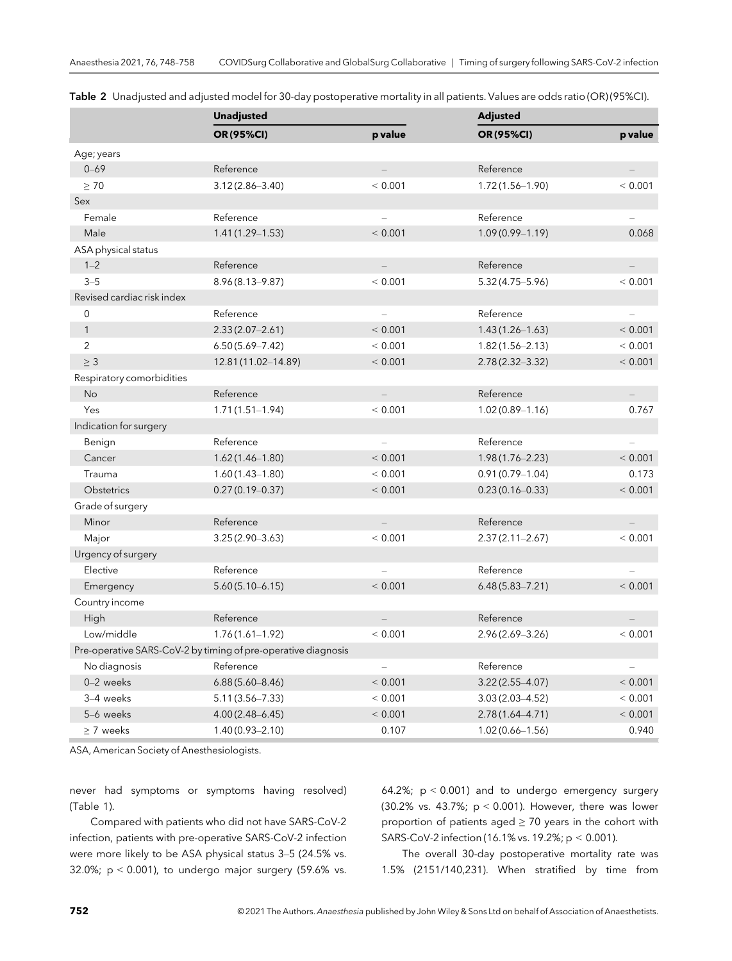|                            | <b>Unadjusted</b>                                             |                          | <b>Adjusted</b>     |                   |
|----------------------------|---------------------------------------------------------------|--------------------------|---------------------|-------------------|
|                            | OR (95%CI)                                                    | p value                  | OR (95%CI)          | p value           |
| Age; years                 |                                                               |                          |                     |                   |
| $0 - 69$                   | Reference                                                     |                          | Reference           |                   |
| $\geq 70$                  | $3.12(2.86 - 3.40)$                                           | < 0.001                  | $1.72(1.56 - 1.90)$ | < 0.001           |
| Sex                        |                                                               |                          |                     |                   |
| Female                     | Reference                                                     |                          | Reference           |                   |
| Male                       | $1.41(1.29 - 1.53)$                                           | < 0.001                  | $1.09(0.99 - 1.19)$ | 0.068             |
| ASA physical status        |                                                               |                          |                     |                   |
| $1 - 2$                    | Reference                                                     | $\overline{\phantom{a}}$ | Reference           | $\equiv$          |
| $3 - 5$                    | $8.96(8.13 - 9.87)$                                           | < 0.001                  | $5.32(4.75 - 5.96)$ | < 0.001           |
| Revised cardiac risk index |                                                               |                          |                     |                   |
| $\mathbf 0$                | Reference                                                     |                          | Reference           |                   |
| $\mathbf{1}$               | $2.33(2.07 - 2.61)$                                           | < 0.001                  | $1.43(1.26 - 1.63)$ | < 0.001           |
| 2                          | $6.50(5.69 - 7.42)$                                           | < 0.001                  | $1.82(1.56 - 2.13)$ | < 0.001           |
| $\geq$ 3                   | 12.81 (11.02-14.89)                                           | < 0.001                  | $2.78(2.32 - 3.32)$ | < 0.001           |
| Respiratory comorbidities  |                                                               |                          |                     |                   |
| No                         | Reference                                                     | $\overline{\phantom{0}}$ | Reference           |                   |
| Yes                        | $1.71(1.51 - 1.94)$                                           | < 0.001                  | $1.02(0.89 - 1.16)$ | 0.767             |
| Indication for surgery     |                                                               |                          |                     |                   |
| Benign                     | Reference                                                     |                          | Reference           |                   |
| Cancer                     | $1.62(1.46 - 1.80)$                                           | < 0.001                  | $1.98(1.76 - 2.23)$ | < 0.001           |
| Trauma                     | $1.60(1.43 - 1.80)$                                           | < 0.001                  | $0.91(0.79 - 1.04)$ | 0.173             |
| <b>Obstetrics</b>          | $0.27(0.19 - 0.37)$                                           | < 0.001                  | $0.23(0.16 - 0.33)$ | < 0.001           |
| Grade of surgery           |                                                               |                          |                     |                   |
| Minor                      | Reference                                                     |                          | Reference           |                   |
| Major                      | $3.25(2.90 - 3.63)$                                           | < 0.001                  | $2.37(2.11 - 2.67)$ | < 0.001           |
| Urgency of surgery         |                                                               |                          |                     |                   |
| Elective                   | Reference                                                     |                          | Reference           |                   |
| Emergency                  | $5.60(5.10 - 6.15)$                                           | < 0.001                  | $6.48(5.83 - 7.21)$ | < 0.001           |
| Country income             |                                                               |                          |                     |                   |
| High                       | Reference                                                     |                          | Reference           |                   |
| Low/middle                 | $1.76(1.61 - 1.92)$                                           | < 0.001                  | 2.96 (2.69-3.26)    | < 0.001           |
|                            | Pre-operative SARS-CoV-2 by timing of pre-operative diagnosis |                          |                     |                   |
| No diagnosis               | Reference                                                     | $\qquad \qquad -$        | Reference           | $\qquad \qquad -$ |
| $0 - 2$ weeks              | $6.88(5.60 - 8.46)$                                           | < 0.001                  | $3.22(2.55 - 4.07)$ | < 0.001           |
| 3-4 weeks                  | $5.11(3.56 - 7.33)$                                           | < 0.001                  | $3.03(2.03 - 4.52)$ | < 0.001           |
| 5-6 weeks                  | $4.00(2.48 - 6.45)$                                           | < 0.001                  | $2.78(1.64 - 4.71)$ | < 0.001           |
| > 7 weeks                  | $1.40(0.93 - 2.10)$                                           | 0.107                    | $1.02(0.66 - 1.56)$ | 0.940             |

Table 2 Unadjusted and adjusted model for 30-day postoperative mortality in all patients. Values are odds ratio (OR) (95%CI).

ASA, American Society of Anesthesiologists.

never had symptoms or symptoms having resolved) (Table 1).

Compared with patients who did not have SARS-CoV-2 infection, patients with pre-operative SARS-CoV-2 infection were more likely to be ASA physical status 3–5 (24.5% vs. 32.0%;  $p < 0.001$ ), to undergo major surgery (59.6% vs.

64.2%; p < 0.001) and to undergo emergency surgery (30.2% vs. 43.7%;  $p < 0.001$ ). However, there was lower proportion of patients aged  $\geq$  70 years in the cohort with SARS-CoV-2 infection (16.1% vs. 19.2%; p < 0.001).

The overall 30-day postoperative mortality rate was 1.5% (2151/140,231). When stratified by time from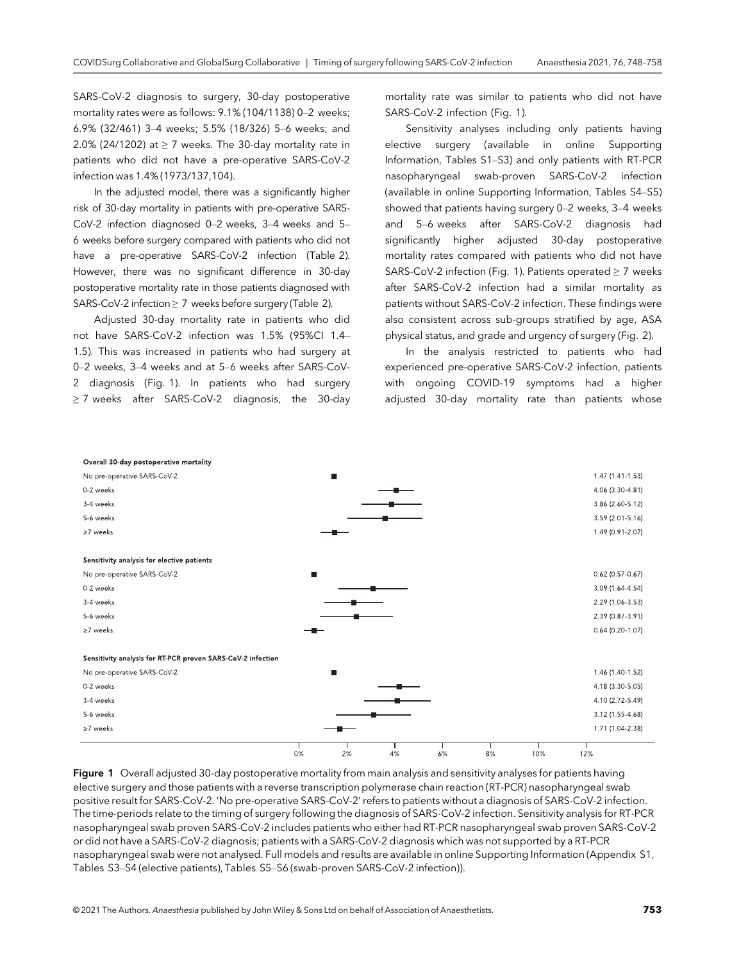SARS-CoV-2 diagnosis to surgery, 30-day postoperative mortality rates were as follows: 9.1% (104/1138) 0–2 weeks; 6.9% (32/461) 3–4 weeks; 5.5% (18/326) 5–6 weeks; and 2.0% (24/1202) at  $\geq$  7 weeks. The 30-day mortality rate in patients who did not have a pre-operative SARS-CoV-2 infection was 1.4% (1973/137,104).

In the adjusted model, there was a significantly higher risk of 30-day mortality in patients with pre-operative SARS-CoV-2 infection diagnosed 0–2 weeks, 3–4 weeks and 5– 6 weeks before surgery compared with patients who did not have a pre-operative SARS-CoV-2 infection (Table 2). However, there was no significant difference in 30-day postoperative mortality rate in those patients diagnosed with SARS-CoV-2 infection ≥ 7 weeks before surgery (Table 2).

Adjusted 30-day mortality rate in patients who did not have SARS-CoV-2 infection was 1.5% (95%CI 1.4– 1.5). This was increased in patients who had surgery at 0–2 weeks, 3–4 weeks and at 5–6 weeks after SARS-CoV-2 diagnosis (Fig. 1). In patients who had surgery ≥ 7 weeks after SARS-CoV-2 diagnosis, the 30-day mortality rate was similar to patients who did not have SARS-CoV-2 infection (Fig. 1).

Sensitivity analyses including only patients having elective surgery (available in online Supporting Information, Tables S1–S3) and only patients with RT-PCR nasopharyngeal swab-proven SARS-CoV-2 infection (available in online Supporting Information, Tables S4–S5) showed that patients having surgery 0–2 weeks, 3–4 weeks and 5–6 weeks after SARS-CoV-2 diagnosis had significantly higher adjusted 30-day postoperative mortality rates compared with patients who did not have SARS-CoV-2 infection (Fig. 1). Patients operated ≥ 7 weeks after SARS-CoV-2 infection had a similar mortality as patients without SARS-CoV-2 infection. These findings were also consistent across sub-groups stratified by age, ASA physical status, and grade and urgency of surgery (Fig. 2).

In the analysis restricted to patients who had experienced pre-operative SARS-CoV-2 infection, patients with ongoing COVID-19 symptoms had a higher adjusted 30-day mortality rate than patients whose



Figure 1 Overall adjusted 30-day postoperative mortality from main analysis and sensitivity analyses for patients having elective surgery and those patients with a reverse transcription polymerase chain reaction (RT-PCR) nasopharyngeal swab positive result for SARS-CoV-2. 'No pre-operative SARS-CoV-2' refers to patients without a diagnosis of SARS-CoV-2 infection. The time-periods relate to the timing of surgery following the diagnosis of SARS-CoV-2 infection. Sensitivity analysis for RT-PCR nasopharyngeal swab proven SARS-CoV-2 includes patients who either had RT-PCR nasopharyngeal swab proven SARS-CoV-2 or did not have a SARS-CoV-2 diagnosis; patients with a SARS-CoV-2 diagnosis which was not supported by a RT-PCR nasopharyngeal swab were not analysed. Full models and results are available in online Supporting Information (Appendix S1, Tables S3–S4 (elective patients), Tables S5–S6 (swab-proven SARS-CoV-2 infection)).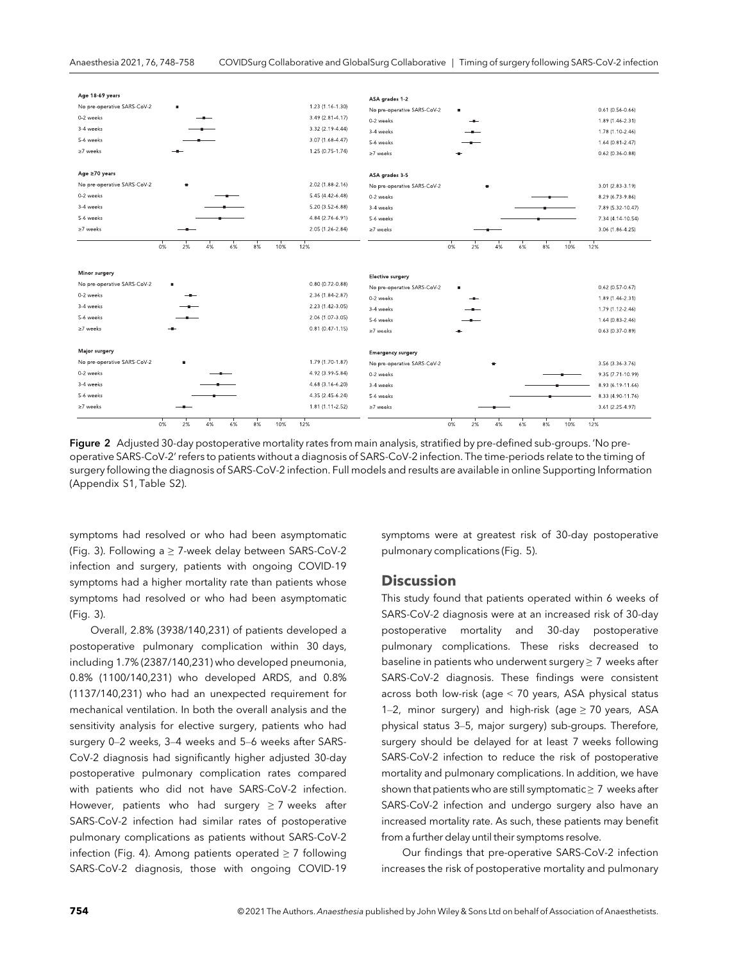

Figure 2 Adjusted 30-day postoperative mortality rates from main analysis, stratified by pre-defined sub-groups. 'No preoperative SARS-CoV-2' refers to patients without a diagnosis of SARS-CoV-2 infection. The time-periods relate to the timing of surgery following the diagnosis of SARS-CoV-2 infection. Full models and results are available in online Supporting Information (Appendix S1, Table S2).

symptoms had resolved or who had been asymptomatic (Fig. 3). Following a  $\geq$  7-week delay between SARS-CoV-2 infection and surgery, patients with ongoing COVID-19 symptoms had a higher mortality rate than patients whose symptoms had resolved or who had been asymptomatic (Fig. 3).

Overall, 2.8% (3938/140,231) of patients developed a postoperative pulmonary complication within 30 days, including 1.7% (2387/140,231) who developed pneumonia, 0.8% (1100/140,231) who developed ARDS, and 0.8% (1137/140,231) who had an unexpected requirement for mechanical ventilation. In both the overall analysis and the sensitivity analysis for elective surgery, patients who had surgery 0–2 weeks, 3–4 weeks and 5–6 weeks after SARS-CoV-2 diagnosis had significantly higher adjusted 30-day postoperative pulmonary complication rates compared with patients who did not have SARS-CoV-2 infection. However, patients who had surgery  $\geq$  7 weeks after SARS-CoV-2 infection had similar rates of postoperative pulmonary complications as patients without SARS-CoV-2 infection (Fig. 4). Among patients operated  $\geq$  7 following SARS-CoV-2 diagnosis, those with ongoing COVID-19

symptoms were at greatest risk of 30-day postoperative pulmonary complications (Fig. 5).

#### **Discussion**

This study found that patients operated within 6 weeks of SARS-CoV-2 diagnosis were at an increased risk of 30-day postoperative mortality and 30-day postoperative pulmonary complications. These risks decreased to baseline in patients who underwent surgery  $\geq 7$  weeks after SARS-CoV-2 diagnosis. These findings were consistent across both low-risk (age < 70 years, ASA physical status 1–2, minor surgery) and high-risk (age  $\geq$  70 years, ASA physical status 3–5, major surgery) sub-groups. Therefore, surgery should be delayed for at least 7 weeks following SARS-CoV-2 infection to reduce the risk of postoperative mortality and pulmonary complications. In addition, we have shown that patients who are still symptomatic  $\geq 7$  weeks after SARS-CoV-2 infection and undergo surgery also have an increased mortality rate. As such, these patients may benefit from a further delay until their symptoms resolve.

Our findings that pre-operative SARS-CoV-2 infection increases the risk of postoperative mortality and pulmonary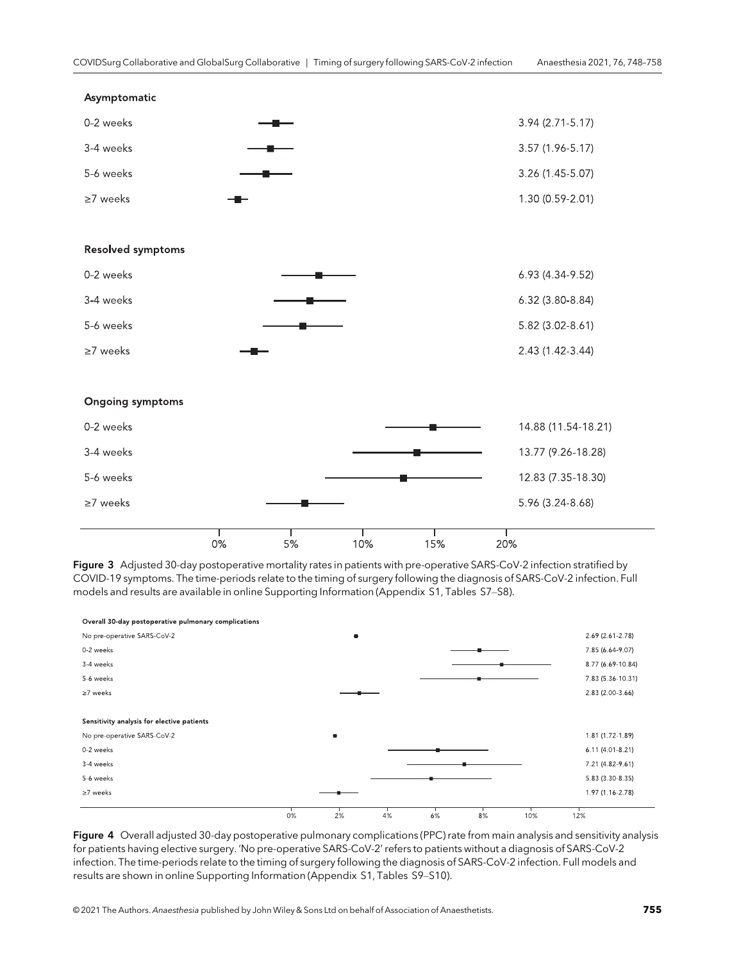

Figure 3 Adjusted 30-day postoperative mortality rates in patients with pre-operative SARS-CoV-2 infection stratified by COVID-19 symptoms. The time-periods relate to the timing of surgery following the diagnosis of SARS-CoV-2 infection. Full models and results are available in online Supporting Information (Appendix S1, Tables S7–S8).



Figure 4 Overall adjusted 30-day postoperative pulmonary complications (PPC) rate from main analysis and sensitivity analysis for patients having elective surgery. 'No pre-operative SARS-CoV-2' refers to patients without a diagnosis of SARS-CoV-2 infection. The time-periods relate to the timing of surgery following the diagnosis of SARS-CoV-2 infection. Full models and results are shown in online Supporting Information (Appendix S1, Tables S9–S10).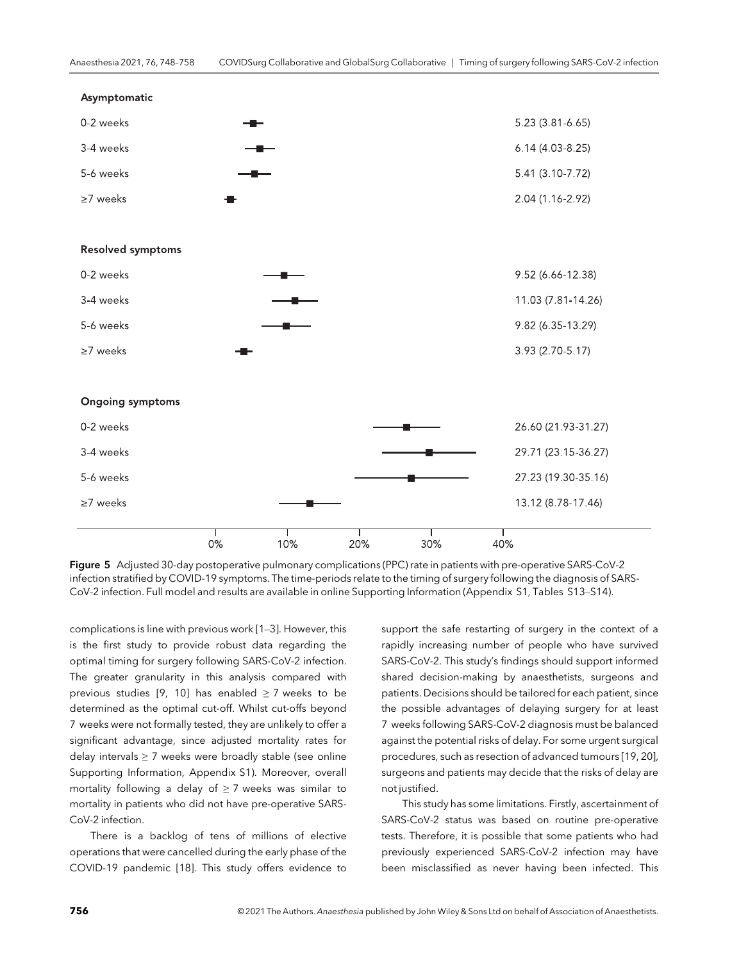

Figure 5 Adjusted 30-day postoperative pulmonary complications (PPC) rate in patients with pre-operative SARS-CoV-2 infection stratified by COVID-19 symptoms. The time-periods relate to the timing of surgery following the diagnosis of SARS-CoV-2 infection. Full model and results are available in online Supporting Information (Appendix S1, Tables S13–S14).

complications is line with previous work [1–3]. However, this is the first study to provide robust data regarding the optimal timing for surgery following SARS-CoV-2 infection. The greater granularity in this analysis compared with previous studies [9, 10] has enabled  $\geq$  7 weeks to be determined as the optimal cut-off. Whilst cut-offs beyond 7 weeks were not formally tested, they are unlikely to offer a significant advantage, since adjusted mortality rates for delay intervals  $\geq$  7 weeks were broadly stable (see online Supporting Information, Appendix S1). Moreover, overall mortality following a delay of  $\geq$  7 weeks was similar to mortality in patients who did not have pre-operative SARS-CoV-2 infection.

There is a backlog of tens of millions of elective operations that were cancelled during the early phase of the COVID-19 pandemic [18]. This study offers evidence to support the safe restarting of surgery in the context of a rapidly increasing number of people who have survived SARS-CoV-2. This study's findings should support informed shared decision-making by anaesthetists, surgeons and patients. Decisions should be tailored for each patient, since the possible advantages of delaying surgery for at least 7 weeks following SARS-CoV-2 diagnosis must be balanced against the potential risks of delay. For some urgent surgical procedures, such as resection of advanced tumours [19, 20], surgeons and patients may decide that the risks of delay are not justified.

This study has some limitations. Firstly, ascertainment of SARS-CoV-2 status was based on routine pre-operative tests. Therefore, it is possible that some patients who had previously experienced SARS-CoV-2 infection may have been misclassified as never having been infected. This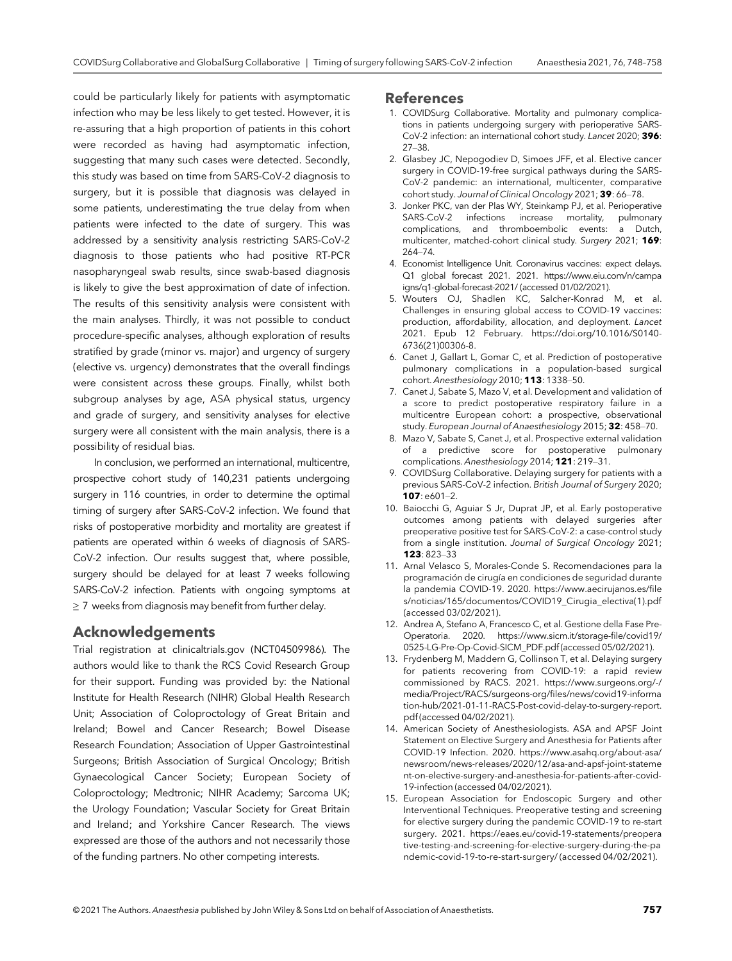could be particularly likely for patients with asymptomatic infection who may be less likely to get tested. However, it is re-assuring that a high proportion of patients in this cohort were recorded as having had asymptomatic infection, suggesting that many such cases were detected. Secondly, this study was based on time from SARS-CoV-2 diagnosis to surgery, but it is possible that diagnosis was delayed in some patients, underestimating the true delay from when patients were infected to the date of surgery. This was addressed by a sensitivity analysis restricting SARS-CoV-2 diagnosis to those patients who had positive RT-PCR nasopharyngeal swab results, since swab-based diagnosis is likely to give the best approximation of date of infection. The results of this sensitivity analysis were consistent with the main analyses. Thirdly, it was not possible to conduct procedure-specific analyses, although exploration of results stratified by grade (minor vs. major) and urgency of surgery (elective vs. urgency) demonstrates that the overall findings were consistent across these groups. Finally, whilst both subgroup analyses by age, ASA physical status, urgency and grade of surgery, and sensitivity analyses for elective surgery were all consistent with the main analysis, there is a possibility of residual bias.

In conclusion, we performed an international, multicentre, prospective cohort study of 140,231 patients undergoing surgery in 116 countries, in order to determine the optimal timing of surgery after SARS-CoV-2 infection. We found that risks of postoperative morbidity and mortality are greatest if patients are operated within 6 weeks of diagnosis of SARS-CoV-2 infection. Our results suggest that, where possible, surgery should be delayed for at least 7 weeks following SARS-CoV-2 infection. Patients with ongoing symptoms at ≥ 7 weeks from diagnosis may benefit from further delay.

#### Acknowledgements

Trial registration at clinicaltrials.gov (NCT04509986). The authors would like to thank the RCS Covid Research Group for their support. Funding was provided by: the National Institute for Health Research (NIHR) Global Health Research Unit; Association of Coloproctology of Great Britain and Ireland; Bowel and Cancer Research; Bowel Disease Research Foundation; Association of Upper Gastrointestinal Surgeons; British Association of Surgical Oncology; British Gynaecological Cancer Society; European Society of Coloproctology; Medtronic; NIHR Academy; Sarcoma UK; the Urology Foundation; Vascular Society for Great Britain and Ireland; and Yorkshire Cancer Research. The views expressed are those of the authors and not necessarily those of the funding partners. No other competing interests.

#### References

- 1. COVIDSurg Collaborative. Mortality and pulmonary complications in patients undergoing surgery with perioperative SARS-CoV-2 infection: an international cohort study. Lancet 2020; 396: 27–38.
- 2. Glasbey JC, Nepogodiev D, Simoes JFF, et al. Elective cancer surgery in COVID-19-free surgical pathways during the SARS-CoV-2 pandemic: an international, multicenter, comparative cohort study. Journal of Clinical Oncology 2021; 39: 66–78.
- 3. Jonker PKC, van der Plas WY, Steinkamp PJ, et al. Perioperative SARS-CoV-2 infections increase mortality, pulmonary complications, and thromboembolic events: a Dutch, multicenter, matched-cohort clinical study. Surgery 2021; 169: 264–74.
- 4. Economist Intelligence Unit. Coronavirus vaccines: expect delays. Q1 global forecast 2021. 2021. [https://www.eiu.com/n/campa](https://www.eiu.com/n/campaigns/q1-global-forecast-2021/) [igns/q1-global-forecast-2021/](https://www.eiu.com/n/campaigns/q1-global-forecast-2021/) (accessed 01/02/2021).
- 5. Wouters OJ, Shadlen KC, Salcher-Konrad M, et al. Challenges in ensuring global access to COVID-19 vaccines: production, affordability, allocation, and deployment. Lancet 2021. Epub 12 February. [https://doi.org/10.1016/S0140-](https://doi.org/10.1016/S0140-6736(21)00306-8) [6736\(21\)00306-8.](https://doi.org/10.1016/S0140-6736(21)00306-8)
- 6. Canet J, Gallart L, Gomar C, et al. Prediction of postoperative pulmonary complications in a population-based surgical cohort. Anesthesiology 2010; 113: 1338-50.
- 7. Canet J, Sabate S, Mazo V, et al. Development and validation of a score to predict postoperative respiratory failure in a multicentre European cohort: a prospective, observational study. European Journal of Anaesthesiology 2015; 32: 458–70.
- 8. Mazo V, Sabate S, Canet J, et al. Prospective external validation of a predictive score for postoperative pulmonary complications. Anesthesiology 2014; 121: 219–31.
- 9. COVIDSurg Collaborative. Delaying surgery for patients with a previous SARS-CoV-2 infection. British Journal of Surgery 2020; 107: e601–2.
- 10. Baiocchi G, Aguiar S Jr, Duprat JP, et al. Early postoperative outcomes among patients with delayed surgeries after preoperative positive test for SARS-CoV-2: a case-control study from a single institution. Journal of Surgical Oncology 2021; 123: 823–33
- 11. Arnal Velasco S, Morales-Conde S. Recomendaciones para la programación de cirugía en condiciones de seguridad durante la pandemia COVID-19. 2020. [https://www.aecirujanos.es/](https://www.aecirujanos.es/files/noticias/165/documentos/COVID19_Cirugia_electiva(1).pdf)file [s/noticias/165/documentos/COVID19\\_Cirugia\\_electiva\(1\).pdf](https://www.aecirujanos.es/files/noticias/165/documentos/COVID19_Cirugia_electiva(1).pdf) (accessed 03/02/2021).
- 12. Andrea A, Stefano A, Francesco C, et al. Gestione della Fase Pre-Operatoria. 2020. [https://www.sicm.it/storage-](https://www.sicm.it/storage-file/covid19/0525-LG-Pre-Op-Covid-SICM_PDF.pdf)file/covid19/ [0525-LG-Pre-Op-Covid-SICM\\_PDF.pdf](https://www.sicm.it/storage-file/covid19/0525-LG-Pre-Op-Covid-SICM_PDF.pdf) (accessed 05/02/2021).
- 13. Frydenberg M, Maddern G, Collinson T, et al. Delaying surgery for patients recovering from COVID-19: a rapid review commissioned by RACS. 2021. [https://www.surgeons.org/-/](https://www.surgeons.org/-/media/Project/RACS/surgeons-org/files/news/covid19-information-hub/2021-01-11-RACS-Post-covid-delay-to-surgery-report.pdf) [media/Project/RACS/surgeons-org/](https://www.surgeons.org/-/media/Project/RACS/surgeons-org/files/news/covid19-information-hub/2021-01-11-RACS-Post-covid-delay-to-surgery-report.pdf)files/news/covid19-informa [tion-hub/2021-01-11-RACS-Post-covid-delay-to-surgery-report.](https://www.surgeons.org/-/media/Project/RACS/surgeons-org/files/news/covid19-information-hub/2021-01-11-RACS-Post-covid-delay-to-surgery-report.pdf) [pdf](https://www.surgeons.org/-/media/Project/RACS/surgeons-org/files/news/covid19-information-hub/2021-01-11-RACS-Post-covid-delay-to-surgery-report.pdf) (accessed 04/02/2021).
- 14. American Society of Anesthesiologists. ASA and APSF Joint Statement on Elective Surgery and Anesthesia for Patients after COVID-19 Infection. 2020. [https://www.asahq.org/about-asa/](https://www.asahq.org/about-asa/newsroom/news-releases/2020/12/asa-and-apsf-joint-statement-on-elective-surgery-and-anesthesia-for-patients-after-covid-19-infection) [newsroom/news-releases/2020/12/asa-and-apsf-joint-stateme](https://www.asahq.org/about-asa/newsroom/news-releases/2020/12/asa-and-apsf-joint-statement-on-elective-surgery-and-anesthesia-for-patients-after-covid-19-infection) [nt-on-elective-surgery-and-anesthesia-for-patients-after-covid-](https://www.asahq.org/about-asa/newsroom/news-releases/2020/12/asa-and-apsf-joint-statement-on-elective-surgery-and-anesthesia-for-patients-after-covid-19-infection)[19-infection](https://www.asahq.org/about-asa/newsroom/news-releases/2020/12/asa-and-apsf-joint-statement-on-elective-surgery-and-anesthesia-for-patients-after-covid-19-infection) (accessed 04/02/2021).
- 15. European Association for Endoscopic Surgery and other Interventional Techniques. Preoperative testing and screening for elective surgery during the pandemic COVID-19 to re-start surgery. 2021. [https://eaes.eu/covid-19-statements/preopera](https://eaes.eu/covid-19-statements/preoperative-testing-and-screening-for-elective-surgery-during-the-pandemic-covid-19-to-re-start-surgery/) [tive-testing-and-screening-for-elective-surgery-during-the-pa](https://eaes.eu/covid-19-statements/preoperative-testing-and-screening-for-elective-surgery-during-the-pandemic-covid-19-to-re-start-surgery/) [ndemic-covid-19-to-re-start-surgery/](https://eaes.eu/covid-19-statements/preoperative-testing-and-screening-for-elective-surgery-during-the-pandemic-covid-19-to-re-start-surgery/) (accessed 04/02/2021).